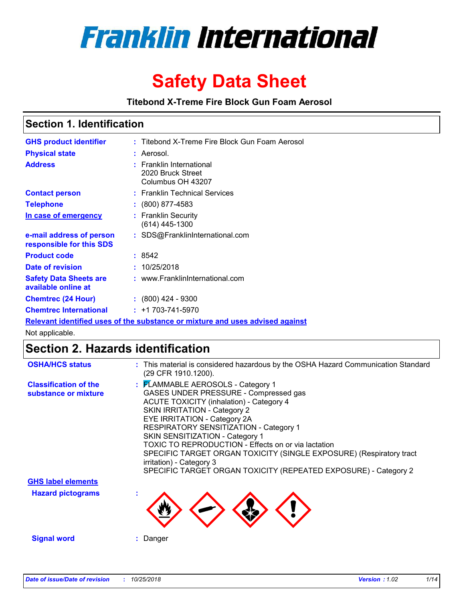

# **Safety Data Sheet**

**Titebond X-Treme Fire Block Gun Foam Aerosol**

### **Section 1. Identification**

| <b>GHS product identifier</b>                        | : Titebond X-Treme Fire Block Gun Foam Aerosol                                |
|------------------------------------------------------|-------------------------------------------------------------------------------|
| <b>Physical state</b>                                | : Aerosol.                                                                    |
| <b>Address</b>                                       | : Franklin International<br>2020 Bruck Street<br>Columbus OH 43207            |
| <b>Contact person</b>                                | : Franklin Technical Services                                                 |
| <b>Telephone</b>                                     | $\colon$ (800) 877-4583                                                       |
| <u>In case of emergency</u>                          | : Franklin Security<br>$(614)$ 445-1300                                       |
| e-mail address of person<br>responsible for this SDS | : SDS@FranklinInternational.com                                               |
| <b>Product code</b>                                  | : 8542                                                                        |
| Date of revision                                     | : 10/25/2018                                                                  |
| <b>Safety Data Sheets are</b><br>available online at | : www.FranklinInternational.com                                               |
| <b>Chemtrec (24 Hour)</b>                            | $: (800)$ 424 - 9300                                                          |
| <b>Chemtrec International</b>                        | $: +1703 - 741 - 5970$                                                        |
|                                                      | Relevant identified uses of the substance or mixture and uses advised against |

Not applicable.

# **Section 2. Hazards identification**

| <b>OSHA/HCS status</b>                               | : This material is considered hazardous by the OSHA Hazard Communication Standard<br>(29 CFR 1910.1200).                                                                                                                                                                                                                                                                                                                                                                                                |
|------------------------------------------------------|---------------------------------------------------------------------------------------------------------------------------------------------------------------------------------------------------------------------------------------------------------------------------------------------------------------------------------------------------------------------------------------------------------------------------------------------------------------------------------------------------------|
| <b>Classification of the</b><br>substance or mixture | : FLAMMABLE AEROSOLS - Category 1<br>GASES UNDER PRESSURE - Compressed gas<br><b>ACUTE TOXICITY (inhalation) - Category 4</b><br>SKIN IRRITATION - Category 2<br>EYE IRRITATION - Category 2A<br>RESPIRATORY SENSITIZATION - Category 1<br>SKIN SENSITIZATION - Category 1<br>TOXIC TO REPRODUCTION - Effects on or via lactation<br>SPECIFIC TARGET ORGAN TOXICITY (SINGLE EXPOSURE) (Respiratory tract<br>irritation) - Category 3<br>SPECIFIC TARGET ORGAN TOXICITY (REPEATED EXPOSURE) - Category 2 |
| <b>GHS label elements</b>                            |                                                                                                                                                                                                                                                                                                                                                                                                                                                                                                         |
| <b>Hazard pictograms</b>                             |                                                                                                                                                                                                                                                                                                                                                                                                                                                                                                         |
| <b>Signal word</b>                                   | Danger                                                                                                                                                                                                                                                                                                                                                                                                                                                                                                  |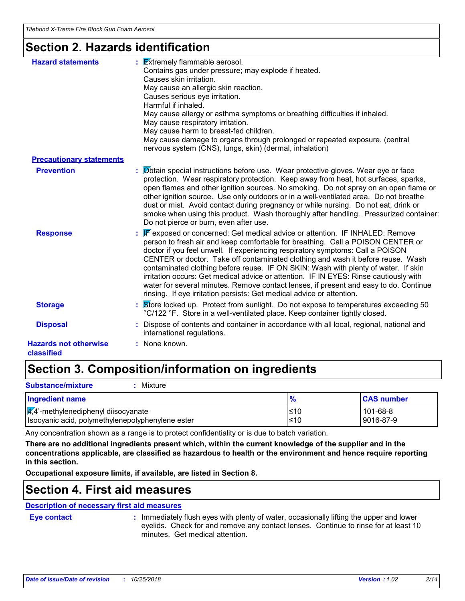# **Section 2. Hazards identification**

| <b>Hazard statements</b>                   | $\frac{1}{2}$ <b>Extremely flammable aerosol.</b><br>Contains gas under pressure; may explode if heated.<br>Causes skin irritation.<br>May cause an allergic skin reaction.<br>Causes serious eye irritation.<br>Harmful if inhaled.<br>May cause allergy or asthma symptoms or breathing difficulties if inhaled.<br>May cause respiratory irritation.<br>May cause harm to breast-fed children.<br>May cause damage to organs through prolonged or repeated exposure. (central<br>nervous system (CNS), lungs, skin) (dermal, inhalation)                                                                                                                                          |
|--------------------------------------------|--------------------------------------------------------------------------------------------------------------------------------------------------------------------------------------------------------------------------------------------------------------------------------------------------------------------------------------------------------------------------------------------------------------------------------------------------------------------------------------------------------------------------------------------------------------------------------------------------------------------------------------------------------------------------------------|
| <b>Precautionary statements</b>            |                                                                                                                                                                                                                                                                                                                                                                                                                                                                                                                                                                                                                                                                                      |
| <b>Prevention</b>                          | : Øbtain special instructions before use. Wear protective gloves. Wear eye or face<br>protection. Wear respiratory protection. Keep away from heat, hot surfaces, sparks,<br>open flames and other ignition sources. No smoking. Do not spray on an open flame or<br>other ignition source. Use only outdoors or in a well-ventilated area. Do not breathe<br>dust or mist. Avoid contact during pregnancy or while nursing. Do not eat, drink or<br>smoke when using this product. Wash thoroughly after handling. Pressurized container:<br>Do not pierce or burn, even after use.                                                                                                 |
| <b>Response</b>                            | F exposed or concerned: Get medical advice or attention. IF INHALED: Remove<br>person to fresh air and keep comfortable for breathing. Call a POISON CENTER or<br>doctor if you feel unwell. If experiencing respiratory symptoms: Call a POISON<br>CENTER or doctor. Take off contaminated clothing and wash it before reuse. Wash<br>contaminated clothing before reuse. IF ON SKIN: Wash with plenty of water. If skin<br>irritation occurs: Get medical advice or attention. IF IN EYES: Rinse cautiously with<br>water for several minutes. Remove contact lenses, if present and easy to do. Continue<br>rinsing. If eye irritation persists: Get medical advice or attention. |
| <b>Storage</b>                             | : Store locked up. Protect from sunlight. Do not expose to temperatures exceeding 50<br>°C/122 °F. Store in a well-ventilated place. Keep container tightly closed.                                                                                                                                                                                                                                                                                                                                                                                                                                                                                                                  |
| <b>Disposal</b>                            | Dispose of contents and container in accordance with all local, regional, national and<br>international regulations.                                                                                                                                                                                                                                                                                                                                                                                                                                                                                                                                                                 |
| <b>Hazards not otherwise</b><br>classified | : None known.                                                                                                                                                                                                                                                                                                                                                                                                                                                                                                                                                                                                                                                                        |

# **Section 3. Composition/information on ingredients**

| <b>Substance/mixture</b><br>Mixture                                                                  |            |                       |
|------------------------------------------------------------------------------------------------------|------------|-----------------------|
| Ingredient name                                                                                      | $\%$       | <b>CAS number</b>     |
| $\frac{1}{4}$ ,4'-methylenediphenyl diisocyanate<br>Isocyanic acid, polymethylenepolyphenylene ester | ≤10<br>≤10 | 101-68-8<br>9016-87-9 |

Any concentration shown as a range is to protect confidentiality or is due to batch variation.

**There are no additional ingredients present which, within the current knowledge of the supplier and in the concentrations applicable, are classified as hazardous to health or the environment and hence require reporting in this section.**

**Occupational exposure limits, if available, are listed in Section 8.**

## **Section 4. First aid measures**

### **Description of necessary first aid measures**

**Eye contact :**

: Immediately flush eyes with plenty of water, occasionally lifting the upper and lower eyelids. Check for and remove any contact lenses. Continue to rinse for at least 10 minutes. Get medical attention.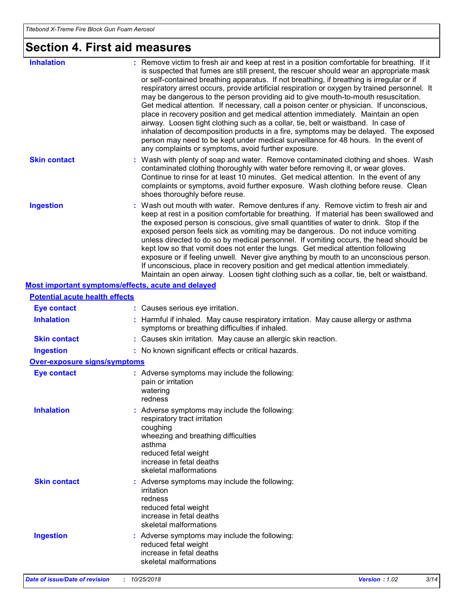# **Section 4. First aid measures**

| <b>Inhalation</b>                                  | : Remove victim to fresh air and keep at rest in a position comfortable for breathing. If it<br>is suspected that fumes are still present, the rescuer should wear an appropriate mask<br>or self-contained breathing apparatus. If not breathing, if breathing is irregular or if<br>respiratory arrest occurs, provide artificial respiration or oxygen by trained personnel. It<br>may be dangerous to the person providing aid to give mouth-to-mouth resuscitation.<br>Get medical attention. If necessary, call a poison center or physician. If unconscious,<br>place in recovery position and get medical attention immediately. Maintain an open<br>airway. Loosen tight clothing such as a collar, tie, belt or waistband. In case of<br>inhalation of decomposition products in a fire, symptoms may be delayed. The exposed<br>person may need to be kept under medical surveillance for 48 hours. In the event of<br>any complaints or symptoms, avoid further exposure. |
|----------------------------------------------------|---------------------------------------------------------------------------------------------------------------------------------------------------------------------------------------------------------------------------------------------------------------------------------------------------------------------------------------------------------------------------------------------------------------------------------------------------------------------------------------------------------------------------------------------------------------------------------------------------------------------------------------------------------------------------------------------------------------------------------------------------------------------------------------------------------------------------------------------------------------------------------------------------------------------------------------------------------------------------------------|
| <b>Skin contact</b>                                | : Wash with plenty of soap and water. Remove contaminated clothing and shoes. Wash<br>contaminated clothing thoroughly with water before removing it, or wear gloves.<br>Continue to rinse for at least 10 minutes. Get medical attention. In the event of any<br>complaints or symptoms, avoid further exposure. Wash clothing before reuse. Clean<br>shoes thoroughly before reuse.                                                                                                                                                                                                                                                                                                                                                                                                                                                                                                                                                                                                 |
| <b>Ingestion</b>                                   | : Wash out mouth with water. Remove dentures if any. Remove victim to fresh air and<br>keep at rest in a position comfortable for breathing. If material has been swallowed and<br>the exposed person is conscious, give small quantities of water to drink. Stop if the<br>exposed person feels sick as vomiting may be dangerous. Do not induce vomiting<br>unless directed to do so by medical personnel. If vomiting occurs, the head should be<br>kept low so that vomit does not enter the lungs. Get medical attention following<br>exposure or if feeling unwell. Never give anything by mouth to an unconscious person.<br>If unconscious, place in recovery position and get medical attention immediately.<br>Maintain an open airway. Loosen tight clothing such as a collar, tie, belt or waistband.                                                                                                                                                                     |
| Most important symptoms/effects, acute and delayed |                                                                                                                                                                                                                                                                                                                                                                                                                                                                                                                                                                                                                                                                                                                                                                                                                                                                                                                                                                                       |
| <b>Potential acute health effects</b>              |                                                                                                                                                                                                                                                                                                                                                                                                                                                                                                                                                                                                                                                                                                                                                                                                                                                                                                                                                                                       |
| <b>Eye contact</b>                                 | : Causes serious eye irritation.                                                                                                                                                                                                                                                                                                                                                                                                                                                                                                                                                                                                                                                                                                                                                                                                                                                                                                                                                      |
| <b>Inhalation</b>                                  | : Harmful if inhaled. May cause respiratory irritation. May cause allergy or asthma<br>symptoms or breathing difficulties if inhaled.                                                                                                                                                                                                                                                                                                                                                                                                                                                                                                                                                                                                                                                                                                                                                                                                                                                 |
| <b>Skin contact</b>                                | : Causes skin irritation. May cause an allergic skin reaction.                                                                                                                                                                                                                                                                                                                                                                                                                                                                                                                                                                                                                                                                                                                                                                                                                                                                                                                        |
| <b>Ingestion</b>                                   | : No known significant effects or critical hazards.                                                                                                                                                                                                                                                                                                                                                                                                                                                                                                                                                                                                                                                                                                                                                                                                                                                                                                                                   |
| <b>Over-exposure signs/symptoms</b>                |                                                                                                                                                                                                                                                                                                                                                                                                                                                                                                                                                                                                                                                                                                                                                                                                                                                                                                                                                                                       |
| <b>Eye contact</b>                                 | : Adverse symptoms may include the following:<br>pain or irritation<br>watering<br>redness                                                                                                                                                                                                                                                                                                                                                                                                                                                                                                                                                                                                                                                                                                                                                                                                                                                                                            |
| <b>Inhalation</b>                                  | : Adverse symptoms may include the following:<br>respiratory tract irritation<br>coughing<br>wheezing and breathing difficulties<br>asthma<br>reduced fetal weight<br>increase in fetal deaths<br>skeletal malformations                                                                                                                                                                                                                                                                                                                                                                                                                                                                                                                                                                                                                                                                                                                                                              |
| <b>Skin contact</b>                                | : Adverse symptoms may include the following:<br>irritation<br>redness<br>reduced fetal weight<br>increase in fetal deaths<br>skeletal malformations                                                                                                                                                                                                                                                                                                                                                                                                                                                                                                                                                                                                                                                                                                                                                                                                                                  |
| <b>Ingestion</b>                                   | : Adverse symptoms may include the following:<br>reduced fetal weight<br>increase in fetal deaths<br>skeletal malformations                                                                                                                                                                                                                                                                                                                                                                                                                                                                                                                                                                                                                                                                                                                                                                                                                                                           |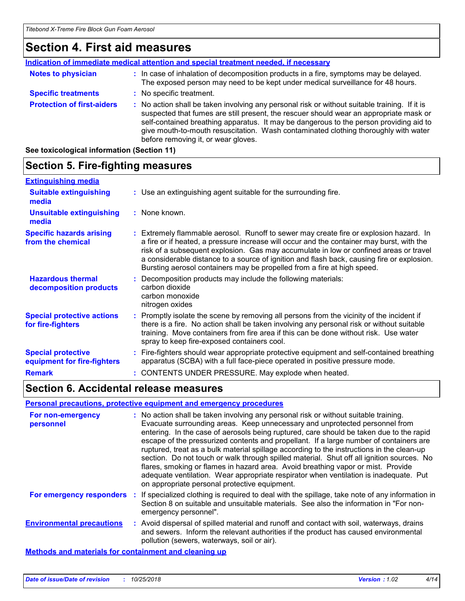# **Section 4. First aid measures**

|                                   | Indication of immediate medical attention and special treatment needed, if necessary                                                                                                                                                                                                                                                                                                                            |
|-----------------------------------|-----------------------------------------------------------------------------------------------------------------------------------------------------------------------------------------------------------------------------------------------------------------------------------------------------------------------------------------------------------------------------------------------------------------|
| <b>Notes to physician</b>         | : In case of inhalation of decomposition products in a fire, symptoms may be delayed.<br>The exposed person may need to be kept under medical surveillance for 48 hours.                                                                                                                                                                                                                                        |
| <b>Specific treatments</b>        | : No specific treatment.                                                                                                                                                                                                                                                                                                                                                                                        |
| <b>Protection of first-aiders</b> | : No action shall be taken involving any personal risk or without suitable training. If it is<br>suspected that fumes are still present, the rescuer should wear an appropriate mask or<br>self-contained breathing apparatus. It may be dangerous to the person providing aid to<br>give mouth-to-mouth resuscitation. Wash contaminated clothing thoroughly with water<br>before removing it, or wear gloves. |
|                                   |                                                                                                                                                                                                                                                                                                                                                                                                                 |

**See toxicological information (Section 11)**

#### **Section 5. Fire-fighting measures** Use an extinguishing agent suitable for the surrounding fire. **: Extinguishing media :** None known. **Suitable extinguishing media Unsuitable extinguishing media**

| <b>Specific hazards arising</b><br>from the chemical      | Extremely flammable aerosol. Runoff to sewer may create fire or explosion hazard. In<br>a fire or if heated, a pressure increase will occur and the container may burst, with the<br>risk of a subsequent explosion. Gas may accumulate in low or confined areas or travel<br>a considerable distance to a source of ignition and flash back, causing fire or explosion.<br>Bursting aerosol containers may be propelled from a fire at high speed. |
|-----------------------------------------------------------|-----------------------------------------------------------------------------------------------------------------------------------------------------------------------------------------------------------------------------------------------------------------------------------------------------------------------------------------------------------------------------------------------------------------------------------------------------|
| <b>Hazardous thermal</b><br>decomposition products        | Decomposition products may include the following materials:<br>carbon dioxide<br>carbon monoxide<br>nitrogen oxides                                                                                                                                                                                                                                                                                                                                 |
| <b>Special protective actions</b><br>La a Cara Calabria a | Promptly isolate the scene by removing all persons from the vicinity of the incident if<br>بملطولات وبالمسترا والمترافي والمتراقص والمسترا والمراقب والمتراط والمستراق والمستقاد والمستقاد والمستراة                                                                                                                                                                                                                                                |

#### there is a fire. No action shall be taken involving any personal risk or without suitable training. Move containers from fire area if this can be done without risk. Use water spray to keep fire-exposed containers cool. Fire-fighters should wear appropriate protective equipment and self-contained breathing **: Special protective for fire-fighters**

#### apparatus (SCBA) with a full face-piece operated in positive pressure mode. **equipment for fire-fighters**

**Remark :** CONTENTS UNDER PRESSURE. May explode when heated.

### **Section 6. Accidental release measures**

### **Personal precautions, protective equipment and emergency procedures**

| For non-emergency<br>personnel                               |    | : No action shall be taken involving any personal risk or without suitable training.<br>Evacuate surrounding areas. Keep unnecessary and unprotected personnel from<br>entering. In the case of aerosols being ruptured, care should be taken due to the rapid<br>escape of the pressurized contents and propellant. If a large number of containers are<br>ruptured, treat as a bulk material spillage according to the instructions in the clean-up<br>section. Do not touch or walk through spilled material. Shut off all ignition sources. No<br>flares, smoking or flames in hazard area. Avoid breathing vapor or mist. Provide<br>adequate ventilation. Wear appropriate respirator when ventilation is inadequate. Put<br>on appropriate personal protective equipment. |
|--------------------------------------------------------------|----|----------------------------------------------------------------------------------------------------------------------------------------------------------------------------------------------------------------------------------------------------------------------------------------------------------------------------------------------------------------------------------------------------------------------------------------------------------------------------------------------------------------------------------------------------------------------------------------------------------------------------------------------------------------------------------------------------------------------------------------------------------------------------------|
| For emergency responders                                     | п. | If specialized clothing is required to deal with the spillage, take note of any information in<br>Section 8 on suitable and unsuitable materials. See also the information in "For non-<br>emergency personnel".                                                                                                                                                                                                                                                                                                                                                                                                                                                                                                                                                                 |
| <b>Environmental precautions</b>                             |    | : Avoid dispersal of spilled material and runoff and contact with soil, waterways, drains<br>and sewers. Inform the relevant authorities if the product has caused environmental<br>pollution (sewers, waterways, soil or air).                                                                                                                                                                                                                                                                                                                                                                                                                                                                                                                                                  |
| <b>Methods and materials for containment and cleaning up</b> |    |                                                                                                                                                                                                                                                                                                                                                                                                                                                                                                                                                                                                                                                                                                                                                                                  |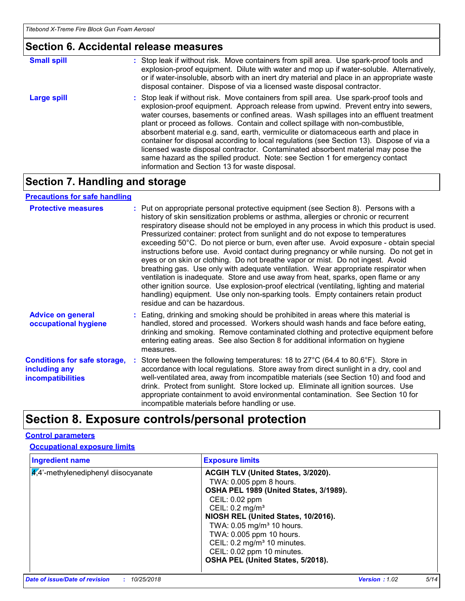### **Section 6. Accidental release measures**

| <b>Small spill</b> | : Stop leak if without risk. Move containers from spill area. Use spark-proof tools and<br>explosion-proof equipment. Dilute with water and mop up if water-soluble. Alternatively,<br>or if water-insoluble, absorb with an inert dry material and place in an appropriate waste<br>disposal container. Dispose of via a licensed waste disposal contractor.                                                                                                                                                                                                                                                                                                                                                                                                        |
|--------------------|----------------------------------------------------------------------------------------------------------------------------------------------------------------------------------------------------------------------------------------------------------------------------------------------------------------------------------------------------------------------------------------------------------------------------------------------------------------------------------------------------------------------------------------------------------------------------------------------------------------------------------------------------------------------------------------------------------------------------------------------------------------------|
| Large spill        | : Stop leak if without risk. Move containers from spill area. Use spark-proof tools and<br>explosion-proof equipment. Approach release from upwind. Prevent entry into sewers,<br>water courses, basements or confined areas. Wash spillages into an effluent treatment<br>plant or proceed as follows. Contain and collect spillage with non-combustible,<br>absorbent material e.g. sand, earth, vermiculite or diatomaceous earth and place in<br>container for disposal according to local regulations (see Section 13). Dispose of via a<br>licensed waste disposal contractor. Contaminated absorbent material may pose the<br>same hazard as the spilled product. Note: see Section 1 for emergency contact<br>information and Section 13 for waste disposal. |

# **Section 7. Handling and storage**

### **Precautions for safe handling**

| <b>Protective measures</b>                                                       | : Put on appropriate personal protective equipment (see Section 8). Persons with a<br>history of skin sensitization problems or asthma, allergies or chronic or recurrent<br>respiratory disease should not be employed in any process in which this product is used.<br>Pressurized container: protect from sunlight and do not expose to temperatures<br>exceeding 50°C. Do not pierce or burn, even after use. Avoid exposure - obtain special<br>instructions before use. Avoid contact during pregnancy or while nursing. Do not get in<br>eyes or on skin or clothing. Do not breathe vapor or mist. Do not ingest. Avoid<br>breathing gas. Use only with adequate ventilation. Wear appropriate respirator when<br>ventilation is inadequate. Store and use away from heat, sparks, open flame or any<br>other ignition source. Use explosion-proof electrical (ventilating, lighting and material<br>handling) equipment. Use only non-sparking tools. Empty containers retain product<br>residue and can be hazardous. |
|----------------------------------------------------------------------------------|---------------------------------------------------------------------------------------------------------------------------------------------------------------------------------------------------------------------------------------------------------------------------------------------------------------------------------------------------------------------------------------------------------------------------------------------------------------------------------------------------------------------------------------------------------------------------------------------------------------------------------------------------------------------------------------------------------------------------------------------------------------------------------------------------------------------------------------------------------------------------------------------------------------------------------------------------------------------------------------------------------------------------------|
| <b>Advice on general</b><br>occupational hygiene                                 | : Eating, drinking and smoking should be prohibited in areas where this material is<br>handled, stored and processed. Workers should wash hands and face before eating,<br>drinking and smoking. Remove contaminated clothing and protective equipment before<br>entering eating areas. See also Section 8 for additional information on hygiene<br>measures.                                                                                                                                                                                                                                                                                                                                                                                                                                                                                                                                                                                                                                                                   |
| <b>Conditions for safe storage,</b><br>including any<br><b>incompatibilities</b> | : Store between the following temperatures: 18 to 27°C (64.4 to 80.6°F). Store in<br>accordance with local regulations. Store away from direct sunlight in a dry, cool and<br>well-ventilated area, away from incompatible materials (see Section 10) and food and<br>drink. Protect from sunlight. Store locked up. Eliminate all ignition sources. Use<br>appropriate containment to avoid environmental contamination. See Section 10 for<br>incompatible materials before handling or use.                                                                                                                                                                                                                                                                                                                                                                                                                                                                                                                                  |

# **Section 8. Exposure controls/personal protection**

### **Control parameters**

### **Occupational exposure limits**

| <b>Ingredient name</b>                | <b>Exposure limits</b>                                                                                                                                                                                                                                                                                            |
|---------------------------------------|-------------------------------------------------------------------------------------------------------------------------------------------------------------------------------------------------------------------------------------------------------------------------------------------------------------------|
| $4.4$ -methylenediphenyl diisocyanate | ACGIH TLV (United States, 3/2020).<br>TWA: 0.005 ppm 8 hours.<br>OSHA PEL 1989 (United States, 3/1989).<br>CEIL: 0.02 ppm<br>CEIL: $0.2$ mg/m <sup>3</sup><br>NIOSH REL (United States, 10/2016).<br>TWA: 0.05 mg/m <sup>3</sup> 10 hours.<br>TWA: 0.005 ppm 10 hours.<br>CEIL: 0.2 mg/m <sup>3</sup> 10 minutes. |
|                                       | CEIL: 0.02 ppm 10 minutes.<br>OSHA PEL (United States, 5/2018).                                                                                                                                                                                                                                                   |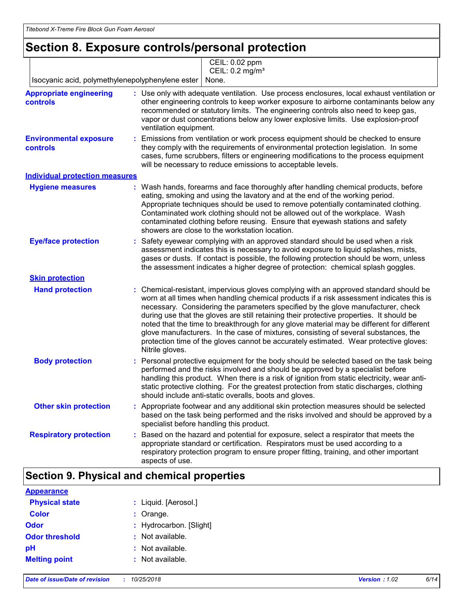# **Section 8. Exposure controls/personal protection**

|                                                   | CEIL: 0.02 ppm<br>CEIL: 0.2 mg/m <sup>3</sup>                                                                                                                                                                                                                                                                                                                                                                                                                                                                                                                                                                                                                   |
|---------------------------------------------------|-----------------------------------------------------------------------------------------------------------------------------------------------------------------------------------------------------------------------------------------------------------------------------------------------------------------------------------------------------------------------------------------------------------------------------------------------------------------------------------------------------------------------------------------------------------------------------------------------------------------------------------------------------------------|
| Isocyanic acid, polymethylenepolyphenylene ester  | None.                                                                                                                                                                                                                                                                                                                                                                                                                                                                                                                                                                                                                                                           |
| <b>Appropriate engineering</b><br><b>controls</b> | : Use only with adequate ventilation. Use process enclosures, local exhaust ventilation or<br>other engineering controls to keep worker exposure to airborne contaminants below any<br>recommended or statutory limits. The engineering controls also need to keep gas,<br>vapor or dust concentrations below any lower explosive limits. Use explosion-proof<br>ventilation equipment.                                                                                                                                                                                                                                                                         |
| <b>Environmental exposure</b><br>controls         | Emissions from ventilation or work process equipment should be checked to ensure<br>they comply with the requirements of environmental protection legislation. In some<br>cases, fume scrubbers, filters or engineering modifications to the process equipment<br>will be necessary to reduce emissions to acceptable levels.                                                                                                                                                                                                                                                                                                                                   |
| <b>Individual protection measures</b>             |                                                                                                                                                                                                                                                                                                                                                                                                                                                                                                                                                                                                                                                                 |
| <b>Hygiene measures</b>                           | : Wash hands, forearms and face thoroughly after handling chemical products, before<br>eating, smoking and using the lavatory and at the end of the working period.<br>Appropriate techniques should be used to remove potentially contaminated clothing.<br>Contaminated work clothing should not be allowed out of the workplace. Wash<br>contaminated clothing before reusing. Ensure that eyewash stations and safety<br>showers are close to the workstation location.                                                                                                                                                                                     |
| <b>Eye/face protection</b>                        | Safety eyewear complying with an approved standard should be used when a risk<br>assessment indicates this is necessary to avoid exposure to liquid splashes, mists,<br>gases or dusts. If contact is possible, the following protection should be worn, unless<br>the assessment indicates a higher degree of protection: chemical splash goggles.                                                                                                                                                                                                                                                                                                             |
| <b>Skin protection</b>                            |                                                                                                                                                                                                                                                                                                                                                                                                                                                                                                                                                                                                                                                                 |
| <b>Hand protection</b>                            | Chemical-resistant, impervious gloves complying with an approved standard should be<br>worn at all times when handling chemical products if a risk assessment indicates this is<br>necessary. Considering the parameters specified by the glove manufacturer, check<br>during use that the gloves are still retaining their protective properties. It should be<br>noted that the time to breakthrough for any glove material may be different for different<br>glove manufacturers. In the case of mixtures, consisting of several substances, the<br>protection time of the gloves cannot be accurately estimated. Wear protective gloves:<br>Nitrile gloves. |
| <b>Body protection</b>                            | Personal protective equipment for the body should be selected based on the task being<br>performed and the risks involved and should be approved by a specialist before<br>handling this product. When there is a risk of ignition from static electricity, wear anti-<br>static protective clothing. For the greatest protection from static discharges, clothing<br>should include anti-static overalls, boots and gloves.                                                                                                                                                                                                                                    |
| <b>Other skin protection</b>                      | : Appropriate footwear and any additional skin protection measures should be selected<br>based on the task being performed and the risks involved and should be approved by a<br>specialist before handling this product.                                                                                                                                                                                                                                                                                                                                                                                                                                       |
| <b>Respiratory protection</b>                     | Based on the hazard and potential for exposure, select a respirator that meets the<br>appropriate standard or certification. Respirators must be used according to a<br>respiratory protection program to ensure proper fitting, training, and other important<br>aspects of use.                                                                                                                                                                                                                                                                                                                                                                               |

### **Section 9. Physical and chemical properties**

| <b>Appearance</b>     |                         |
|-----------------------|-------------------------|
| <b>Physical state</b> | : Liquid. [Aerosol.]    |
| <b>Color</b>          | $:$ Orange.             |
| Odor                  | : Hydrocarbon. [Slight] |
| <b>Odor threshold</b> | : Not available.        |
| pH                    | : Not available.        |
| <b>Melting point</b>  | : Not available.        |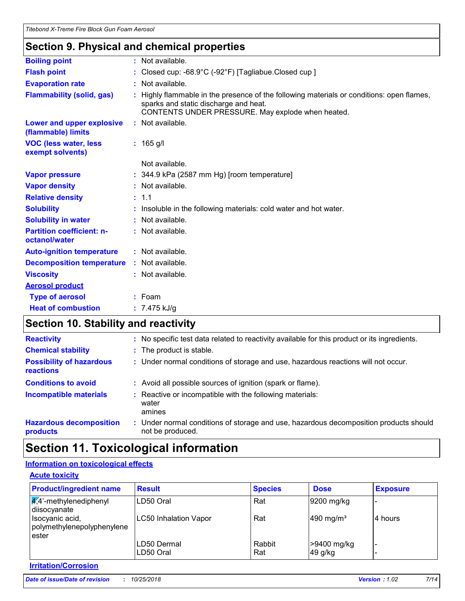### **Section 9. Physical and chemical properties**

| <b>Boiling point</b>                              | : Not available.                                                                                                                                                                      |
|---------------------------------------------------|---------------------------------------------------------------------------------------------------------------------------------------------------------------------------------------|
| <b>Flash point</b>                                | : Closed cup: -68.9°C (-92°F) [Tagliabue.Closed cup]                                                                                                                                  |
| <b>Evaporation rate</b>                           | : Not available.                                                                                                                                                                      |
| <b>Flammability (solid, gas)</b>                  | Highly flammable in the presence of the following materials or conditions: open flames,<br>sparks and static discharge and heat.<br>CONTENTS UNDER PRESSURE. May explode when heated. |
| Lower and upper explosive<br>(flammable) limits   | : Not available.                                                                                                                                                                      |
| <b>VOC (less water, less)</b><br>exempt solvents) | $: 165$ g/l                                                                                                                                                                           |
|                                                   | Not available.                                                                                                                                                                        |
| <b>Vapor pressure</b>                             | $: 344.9$ kPa (2587 mm Hg) [room temperature]                                                                                                                                         |
| <b>Vapor density</b>                              | : Not available.                                                                                                                                                                      |
| <b>Relative density</b>                           | : 1.1                                                                                                                                                                                 |
| <b>Solubility</b>                                 | : Insoluble in the following materials: cold water and hot water.                                                                                                                     |
| <b>Solubility in water</b>                        | : Not available.                                                                                                                                                                      |
| <b>Partition coefficient: n-</b><br>octanol/water | : Not available.                                                                                                                                                                      |
| <b>Auto-ignition temperature</b>                  | : Not available.                                                                                                                                                                      |
| <b>Decomposition temperature</b>                  | : Not available.                                                                                                                                                                      |
| <b>Viscosity</b>                                  | : Not available.                                                                                                                                                                      |
| <b>Aerosol product</b>                            |                                                                                                                                                                                       |
| <b>Type of aerosol</b>                            | $:$ Foam                                                                                                                                                                              |
| <b>Heat of combustion</b>                         | : $7.475$ kJ/g                                                                                                                                                                        |
|                                                   |                                                                                                                                                                                       |

# **Section 10. Stability and reactivity**

| <b>Reactivity</b>                                   | : No specific test data related to reactivity available for this product or its ingredients.              |
|-----------------------------------------------------|-----------------------------------------------------------------------------------------------------------|
| <b>Chemical stability</b>                           | : The product is stable.                                                                                  |
| <b>Possibility of hazardous</b><br><b>reactions</b> | : Under normal conditions of storage and use, hazardous reactions will not occur.                         |
| <b>Conditions to avoid</b>                          | : Avoid all possible sources of ignition (spark or flame).                                                |
| <b>Incompatible materials</b>                       | : Reactive or incompatible with the following materials:<br>water<br>amines                               |
| <b>Hazardous decomposition</b><br>products          | : Under normal conditions of storage and use, hazardous decomposition products should<br>not be produced. |

# **Section 11. Toxicological information**

### **Information on toxicological effects**

| <b>Acute toxicity</b>                                      |                           |                |                        |                 |
|------------------------------------------------------------|---------------------------|----------------|------------------------|-----------------|
| <b>Product/ingredient name</b>                             | <b>Result</b>             | <b>Species</b> | <b>Dose</b>            | <b>Exposure</b> |
| $\sqrt{4}$ <sup>2</sup> -methylenediphenyl<br>diisocyanate | LD50 Oral                 | Rat            | 9200 mg/kg             |                 |
| Isocyanic acid,<br>polymethylenepolyphenylene<br>ester     | LC50 Inhalation Vapor     | Rat            | 490 mg/m <sup>3</sup>  | 4 hours         |
|                                                            | LD50 Dermal<br>ILD50 Oral | Rabbit<br>Rat  | >9400 mg/kg<br>49 g/kg |                 |

### **Irritation/Corrosion**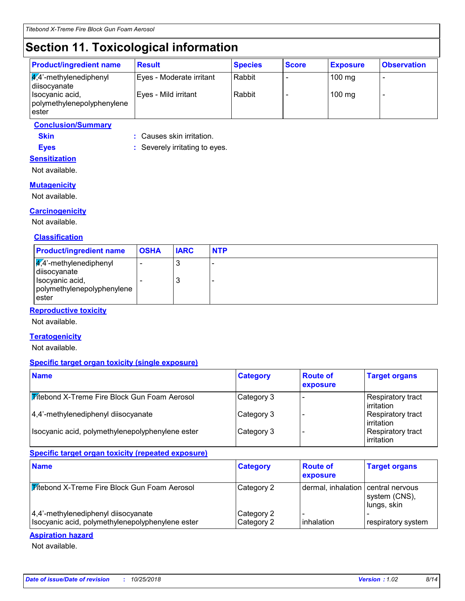# **Section 11. Toxicological information**

| <b>Product/ingredient name</b>                          | <b>Result</b>            | <b>Species</b> | <b>Score</b> | <b>Exposure</b>  | <b>Observation</b>       |
|---------------------------------------------------------|--------------------------|----------------|--------------|------------------|--------------------------|
| $\frac{1}{4}$ ,4'-methylenediphenyl<br>diisocyanate     | Eyes - Moderate irritant | Rabbit         |              | $100 \text{ mg}$ | $\overline{\phantom{0}}$ |
| Isocyanic acid,<br>polymethylenepolyphenylene<br>lester | Eyes - Mild irritant     | Rabbit         |              | $100$ mg         |                          |

### **Conclusion/Summary**

**Skin :** Causes skin irritation.

**Eyes :** Severely irritating to eyes. **Sensitization**

Not available.

### **Mutagenicity**

Not available.

### **Carcinogenicity**

Not available.

#### **Classification**

| <b>Product/ingredient name</b>                                                                                       | <b>OSHA</b> | <b>IARC</b> | <b>NTP</b> |
|----------------------------------------------------------------------------------------------------------------------|-------------|-------------|------------|
| $\sqrt{4}$ <sup>2</sup> -methylenediphenyl<br>diisocyanate<br>Isocyanic acid,<br>polymethylenepolyphenylene<br>ester |             | ىب<br>ر،    | -<br>-     |

### **Reproductive toxicity**

Not available.

#### **Teratogenicity**

Not available.

#### **Specific target organ toxicity (single exposure)**

| <b>Name</b>                                         | <b>Category</b> | <b>Route of</b><br>exposure | <b>Target organs</b>              |
|-----------------------------------------------------|-----------------|-----------------------------|-----------------------------------|
| <b>Titebond X-Treme Fire Block Gun Foam Aerosol</b> | Category 3      |                             | Respiratory tract<br>l irritation |
| 4,4'-methylenediphenyl diisocyanate                 | Category 3      |                             | Respiratory tract<br>l irritation |
| Isocyanic acid, polymethylenepolyphenylene ester    | Category 3      |                             | Respiratory tract<br>irritation   |

### **Specific target organ toxicity (repeated exposure)**

| <b>Name</b>                                                                             | <b>Category</b>          | <b>Route of</b><br>exposure        | <b>Target organs</b>         |
|-----------------------------------------------------------------------------------------|--------------------------|------------------------------------|------------------------------|
| <b>Mitebond X-Treme Fire Block Gun Foam Aerosol</b>                                     | Category 2               | dermal, inhalation central nervous | system (CNS),<br>lungs, skin |
| 4,4'-methylenediphenyl diisocyanate<br>Isocyanic acid, polymethylenepolyphenylene ester | Category 2<br>Category 2 | inhalation                         | respiratory system           |

#### **Aspiration hazard**

Not available.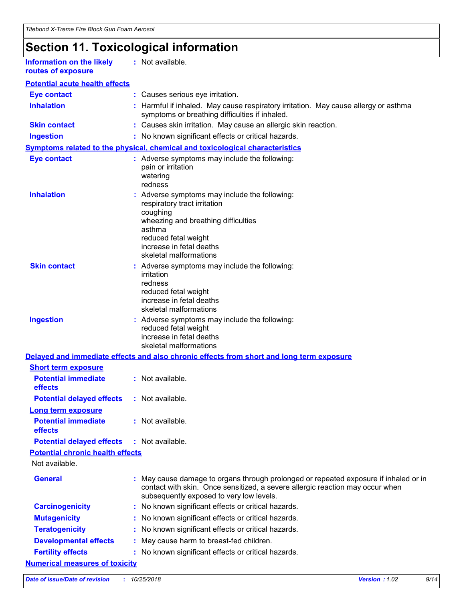# **Section 11. Toxicological information**

| <b>Information on the likely</b> | : Not available. |
|----------------------------------|------------------|
| routes of exposure               |                  |

| <b>Potential acute health effects</b> |
|---------------------------------------|
|---------------------------------------|

| <b>Eye contact</b>                                                  |    | : Causes serious eye irritation.                                                                                                                                                                                         |
|---------------------------------------------------------------------|----|--------------------------------------------------------------------------------------------------------------------------------------------------------------------------------------------------------------------------|
| <b>Inhalation</b>                                                   |    | : Harmful if inhaled. May cause respiratory irritation. May cause allergy or asthma<br>symptoms or breathing difficulties if inhaled.                                                                                    |
| <b>Skin contact</b>                                                 |    | : Causes skin irritation. May cause an allergic skin reaction.                                                                                                                                                           |
| <b>Ingestion</b>                                                    |    | : No known significant effects or critical hazards.                                                                                                                                                                      |
|                                                                     |    | Symptoms related to the physical, chemical and toxicological characteristics                                                                                                                                             |
| <b>Eye contact</b>                                                  |    | : Adverse symptoms may include the following:<br>pain or irritation<br>watering<br>redness                                                                                                                               |
| <b>Inhalation</b>                                                   |    | : Adverse symptoms may include the following:<br>respiratory tract irritation<br>coughing<br>wheezing and breathing difficulties<br>asthma<br>reduced fetal weight<br>increase in fetal deaths<br>skeletal malformations |
| <b>Skin contact</b>                                                 |    | Adverse symptoms may include the following:<br>irritation<br>redness<br>reduced fetal weight<br>increase in fetal deaths<br>skeletal malformations                                                                       |
| <b>Ingestion</b>                                                    |    | : Adverse symptoms may include the following:<br>reduced fetal weight<br>increase in fetal deaths<br>skeletal malformations                                                                                              |
|                                                                     |    | Delayed and immediate effects and also chronic effects from short and long term exposure                                                                                                                                 |
| <b>Short term exposure</b><br><b>Potential immediate</b><br>effects |    | : Not available.                                                                                                                                                                                                         |
| <b>Potential delayed effects</b>                                    |    | : Not available.                                                                                                                                                                                                         |
| <b>Long term exposure</b>                                           |    |                                                                                                                                                                                                                          |
| <b>Potential immediate</b><br>effects                               |    | : Not available.                                                                                                                                                                                                         |
| <b>Potential delayed effects</b>                                    |    | : Not available.                                                                                                                                                                                                         |
| <b>Potential chronic health effects</b>                             |    |                                                                                                                                                                                                                          |
| Not available.                                                      |    |                                                                                                                                                                                                                          |
| <b>General</b>                                                      |    | May cause damage to organs through prolonged or repeated exposure if inhaled or in<br>contact with skin. Once sensitized, a severe allergic reaction may occur when<br>subsequently exposed to very low levels.          |
| <b>Carcinogenicity</b>                                              |    | : No known significant effects or critical hazards.                                                                                                                                                                      |
| <b>Mutagenicity</b>                                                 | ÷. | No known significant effects or critical hazards.                                                                                                                                                                        |
| <b>Teratogenicity</b>                                               |    | No known significant effects or critical hazards.                                                                                                                                                                        |
| <b>Developmental effects</b>                                        |    | May cause harm to breast-fed children.                                                                                                                                                                                   |
| <b>Fertility effects</b>                                            |    | : No known significant effects or critical hazards.                                                                                                                                                                      |
| <b>Numerical measures of toxicity</b>                               |    |                                                                                                                                                                                                                          |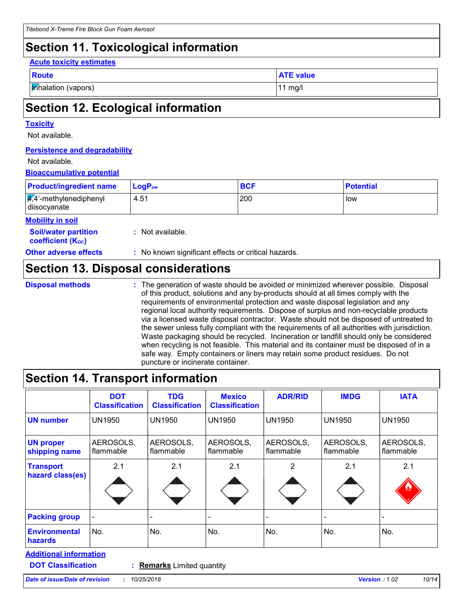# **Section 11. Toxicological information**

#### **Acute toxicity estimates**

| ×<br>۰. | . .<br>× | ÷<br>. . |  |
|---------|----------|----------|--|

**Inhalation (vapors)** 11 mg/l

**ATE value** 

# **Section 12. Ecological information**

### **Toxicity**

Not available.

### **Persistence and degradability**

#### Not available.

### **Bioaccumulative potential**

| <b>Product/ingredient name</b>                             | $LogP_{ow}$      | <b>BCF</b> | <b>Potential</b> |
|------------------------------------------------------------|------------------|------------|------------------|
| $\sqrt{4}$ <sup>2</sup> -methylenediphenyl<br>diisocyanate | 4.51             | 200        | low              |
| <b>Mobility in soil</b>                                    |                  |            |                  |
| <b>Soil/water partition</b><br><b>coefficient (Koc)</b>    | : Not available. |            |                  |

**Other adverse effects** : No known significant effects or critical hazards.

# **Section 13. Disposal considerations**

**Disposal methods :**

The generation of waste should be avoided or minimized wherever possible. Disposal of this product, solutions and any by-products should at all times comply with the requirements of environmental protection and waste disposal legislation and any regional local authority requirements. Dispose of surplus and non-recyclable products via a licensed waste disposal contractor. Waste should not be disposed of untreated to the sewer unless fully compliant with the requirements of all authorities with jurisdiction. Waste packaging should be recycled. Incineration or landfill should only be considered when recycling is not feasible. This material and its container must be disposed of in a safe way. Empty containers or liners may retain some product residues. Do not puncture or incinerate container.

# **Section 14. Transport information**

| <b>DOT</b><br><b>Classification</b> | <b>TDG</b><br><b>Classification</b> | <b>Mexico</b><br><b>Classification</b> | <b>ADR/RID</b>         | <b>IMDG</b>            | <b>IATA</b>            |
|-------------------------------------|-------------------------------------|----------------------------------------|------------------------|------------------------|------------------------|
| <b>UN1950</b>                       | <b>UN1950</b>                       | <b>UN1950</b>                          | <b>UN1950</b>          | <b>UN1950</b>          | <b>UN1950</b>          |
| AEROSOLS,<br>flammable              | AEROSOLS,<br>flammable              | AEROSOLS,<br>flammable                 | AEROSOLS,<br>flammable | AEROSOLS,<br>flammable | AEROSOLS,<br>flammable |
| 2.1                                 | 2.1                                 | 2.1                                    | 2                      | 2.1                    | 2.1                    |
|                                     |                                     |                                        |                        |                        |                        |
| No.                                 | No.                                 | No.                                    | No.                    | No.                    | No.                    |
|                                     |                                     |                                        |                        |                        |                        |

**DOT Classification :**

**Remarks** Limited quantity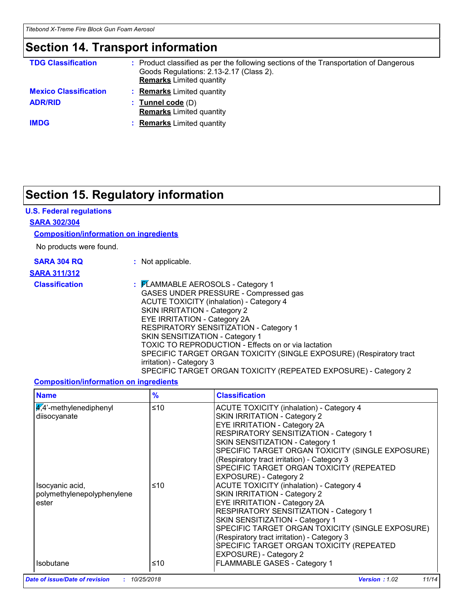## **Section 14. Transport information**

| <b>TDG Classification</b>    | : Product classified as per the following sections of the Transportation of Dangerous<br>Goods Regulations: 2.13-2.17 (Class 2).<br><b>Remarks</b> Limited quantity |
|------------------------------|---------------------------------------------------------------------------------------------------------------------------------------------------------------------|
| <b>Mexico Classification</b> | <b>Remarks</b> Limited quantity                                                                                                                                     |
| <b>ADR/RID</b>               | $:$ Tunnel code $(D)$<br><b>Remarks</b> Limited quantity                                                                                                            |
| <b>IMDG</b>                  | <b>Remarks</b> Limited quantity                                                                                                                                     |

# **Section 15. Regulatory information**

### **U.S. Federal regulations**

#### **SARA 302/304**

#### **Composition/information on ingredients**

No products were found.

| <b>SARA 304 RQ</b> |  |  |
|--------------------|--|--|
|                    |  |  |

**:** Not applicable.

### **SARA 311/312**

**Classification :** FLAMMABLE AEROSOLS - Category 1 GASES UNDER PRESSURE - Compressed gas ACUTE TOXICITY (inhalation) - Category 4 SKIN IRRITATION - Category 2 EYE IRRITATION - Category 2A RESPIRATORY SENSITIZATION - Category 1 SKIN SENSITIZATION - Category 1 TOXIC TO REPRODUCTION - Effects on or via lactation SPECIFIC TARGET ORGAN TOXICITY (SINGLE EXPOSURE) (Respiratory tract irritation) - Category 3 SPECIFIC TARGET ORGAN TOXICITY (REPEATED EXPOSURE) - Category 2

#### **Composition/information on ingredients**

| <b>Name</b>                                            | $\frac{9}{6}$ | <b>Classification</b>                                                                                                                                                                                                                                                                                                                                                        |
|--------------------------------------------------------|---------------|------------------------------------------------------------------------------------------------------------------------------------------------------------------------------------------------------------------------------------------------------------------------------------------------------------------------------------------------------------------------------|
| $\frac{4}{4}$ -methylenediphenyl<br>diisocyanate       | ≤10           | <b>ACUTE TOXICITY (inhalation) - Category 4</b><br>SKIN IRRITATION - Category 2<br><b>EYE IRRITATION - Category 2A</b><br>RESPIRATORY SENSITIZATION - Category 1<br>SKIN SENSITIZATION - Category 1<br>SPECIFIC TARGET ORGAN TOXICITY (SINGLE EXPOSURE)<br>(Respiratory tract irritation) - Category 3<br>SPECIFIC TARGET ORGAN TOXICITY (REPEATED<br>EXPOSURE) - Category 2 |
| Isocyanic acid,<br>polymethylenepolyphenylene<br>ester | ≤10           | <b>ACUTE TOXICITY (inhalation) - Category 4</b><br>SKIN IRRITATION - Category 2<br><b>EYE IRRITATION - Category 2A</b><br>RESPIRATORY SENSITIZATION - Category 1<br>SKIN SENSITIZATION - Category 1<br>SPECIFIC TARGET ORGAN TOXICITY (SINGLE EXPOSURE)<br>(Respiratory tract irritation) - Category 3<br>SPECIFIC TARGET ORGAN TOXICITY (REPEATED<br>EXPOSURE) - Category 2 |
| <b>Isobutane</b>                                       | ≤10           | FLAMMABLE GASES - Category 1                                                                                                                                                                                                                                                                                                                                                 |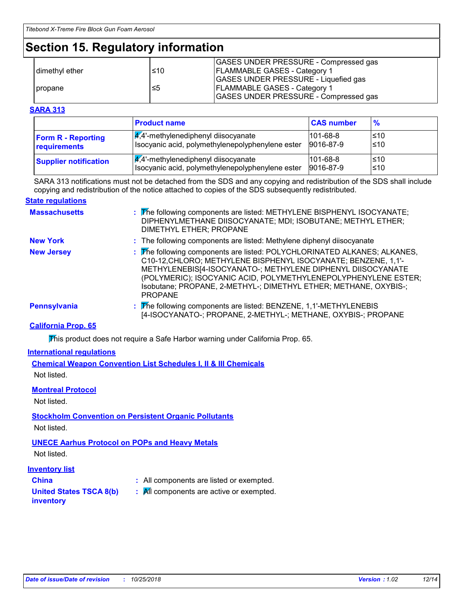# **Section 15. Regulatory information**

|                  |      | GASES UNDER PRESSURE - Compressed gas        |
|------------------|------|----------------------------------------------|
| I dimethyl ether | l≤10 | <b>FLAMMABLE GASES - Category 1</b>          |
|                  |      | GASES UNDER PRESSURE - Liquefied gas         |
| propane          | ≤5   | <b>FLAMMABLE GASES - Category 1</b>          |
|                  |      | <b>GASES UNDER PRESSURE - Compressed gas</b> |

#### **SARA 313**

|                              | <b>Product name</b>                              | <b>CAS number</b> | $\frac{9}{6}$ |
|------------------------------|--------------------------------------------------|-------------------|---------------|
| <b>Form R - Reporting</b>    | $\frac{1}{4}$ ,4'-methylenediphenyl diisocyanate | $101 - 68 - 8$    | l≤10          |
| requirements                 | Isocyanic acid, polymethylenepolyphenylene ester | 9016-87-9         | ≤10           |
| <b>Supplier notification</b> | $\frac{q}{4}$ . methylenediphenyl diisocyanate   | $101 - 68 - 8$    | l≤10          |
|                              | Isocyanic acid, polymethylenepolyphenylene ester | 9016-87-9         | l≤10          |

SARA 313 notifications must not be detached from the SDS and any copying and redistribution of the SDS shall include copying and redistribution of the notice attached to copies of the SDS subsequently redistributed.

#### **State regulations**

| <b>Massachusetts</b> | : The following components are listed: METHYLENE BISPHENYL ISOCYANATE;<br>DIPHENYLMETHANE DIISOCYANATE; MDI; ISOBUTANE; METHYL ETHER;<br>DIMETHYL ETHER; PROPANE                                                                                                                                                                                                  |
|----------------------|-------------------------------------------------------------------------------------------------------------------------------------------------------------------------------------------------------------------------------------------------------------------------------------------------------------------------------------------------------------------|
| <b>New York</b>      | : The following components are listed: Methylene diphenyl diisocyanate                                                                                                                                                                                                                                                                                            |
| <b>New Jersey</b>    | : The following components are listed: POLYCHLORINATED ALKANES; ALKANES,<br>C10-12, CHLORO; METHYLENE BISPHENYL ISOCYANATE; BENZENE, 1,1'-<br>METHYLENEBIS[4-ISOCYANATO-; METHYLENE DIPHENYL DIISOCYANATE<br>(POLYMERIC); ISOCYANIC ACID, POLYMETHYLENEPOLYPHENYLENE ESTER;<br>Isobutane; PROPANE, 2-METHYL-; DIMETHYL ETHER; METHANE, OXYBIS-;<br><b>PROPANE</b> |
| <b>Pennsylvania</b>  | : The following components are listed: BENZENE, 1,1'-METHYLENEBIS<br>[4-ISOCYANATO-; PROPANE, 2-METHYL-; METHANE, OXYBIS-; PROPANE                                                                                                                                                                                                                                |

### **California Prop. 65**

This product does not require a Safe Harbor warning under California Prop. 65.

#### **International regulations**

**Chemical Weapon Convention List Schedules I, II & III Chemicals** Not listed.

#### **Montreal Protocol**

Not listed.

### **Stockholm Convention on Persistent Organic Pollutants**

Not listed.

### **UNECE Aarhus Protocol on POPs and Heavy Metals**

Not listed.

#### **Inventory list**

- 
- **China :** All components are listed or exempted.
- **United States TSCA 8(b)**
- **:** All components are active or exempted.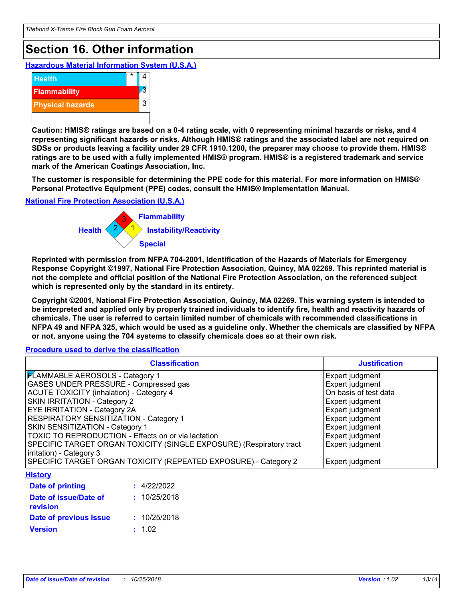# **Section 16. Other information**

**Hazardous Material Information System (U.S.A.)**



**Caution: HMIS® ratings are based on a 0-4 rating scale, with 0 representing minimal hazards or risks, and 4 representing significant hazards or risks. Although HMIS® ratings and the associated label are not required on SDSs or products leaving a facility under 29 CFR 1910.1200, the preparer may choose to provide them. HMIS® ratings are to be used with a fully implemented HMIS® program. HMIS® is a registered trademark and service mark of the American Coatings Association, Inc.**

**The customer is responsible for determining the PPE code for this material. For more information on HMIS® Personal Protective Equipment (PPE) codes, consult the HMIS® Implementation Manual.**

**National Fire Protection Association (U.S.A.)**



**Reprinted with permission from NFPA 704-2001, Identification of the Hazards of Materials for Emergency Response Copyright ©1997, National Fire Protection Association, Quincy, MA 02269. This reprinted material is not the complete and official position of the National Fire Protection Association, on the referenced subject which is represented only by the standard in its entirety.**

**Copyright ©2001, National Fire Protection Association, Quincy, MA 02269. This warning system is intended to be interpreted and applied only by properly trained individuals to identify fire, health and reactivity hazards of chemicals. The user is referred to certain limited number of chemicals with recommended classifications in NFPA 49 and NFPA 325, which would be used as a guideline only. Whether the chemicals are classified by NFPA or not, anyone using the 704 systems to classify chemicals does so at their own risk.**

**Procedure used to derive the classification**

| <b>Classification</b>                                               | <b>Justification</b>  |
|---------------------------------------------------------------------|-----------------------|
| <b>FLAMMABLE AEROSOLS - Category 1</b>                              | Expert judgment       |
| <b>GASES UNDER PRESSURE - Compressed gas</b>                        | Expert judgment       |
| ACUTE TOXICITY (inhalation) - Category 4                            | On basis of test data |
| <b>SKIN IRRITATION - Category 2</b>                                 | Expert judgment       |
| <b>EYE IRRITATION - Category 2A</b>                                 | Expert judgment       |
| <b>RESPIRATORY SENSITIZATION - Category 1</b>                       | Expert judgment       |
| SKIN SENSITIZATION - Category 1                                     | Expert judgment       |
| TOXIC TO REPRODUCTION - Effects on or via lactation                 | Expert judgment       |
| SPECIFIC TARGET ORGAN TOXICITY (SINGLE EXPOSURE) (Respiratory tract | Expert judgment       |
| irritation) - Category 3                                            |                       |
| SPECIFIC TARGET ORGAN TOXICITY (REPEATED EXPOSURE) - Category 2     | Expert judgment       |
| <b>History</b>                                                      |                       |
| Date of printing<br>: 4/22/2022                                     |                       |
| : 10/25/2018<br>Date of issue/Date of<br>revision                   |                       |